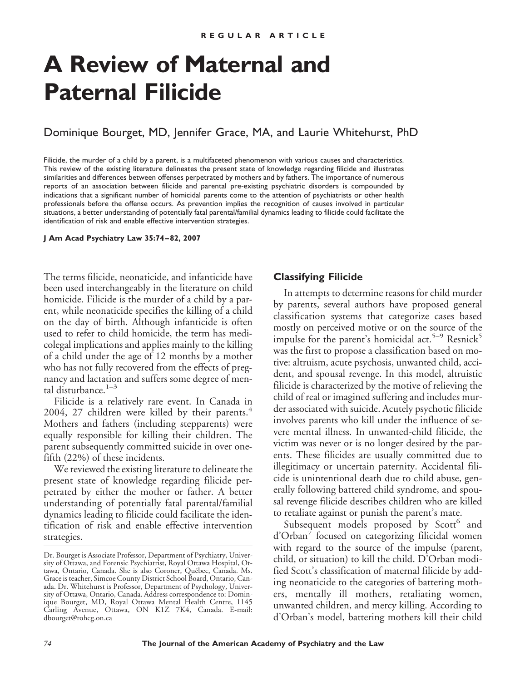# **A Review of Maternal and Paternal Filicide**

# Dominique Bourget, MD, Jennifer Grace, MA, and Laurie Whitehurst, PhD

Filicide, the murder of a child by a parent, is a multifaceted phenomenon with various causes and characteristics. This review of the existing literature delineates the present state of knowledge regarding filicide and illustrates similarities and differences between offenses perpetrated by mothers and by fathers. The importance of numerous reports of an association between filicide and parental pre-existing psychiatric disorders is compounded by indications that a significant number of homicidal parents come to the attention of psychiatrists or other health professionals before the offense occurs. As prevention implies the recognition of causes involved in particular situations, a better understanding of potentially fatal parental/familial dynamics leading to filicide could facilitate the identification of risk and enable effective intervention strategies.

**J Am Acad Psychiatry Law 35:74 – 82, 2007**

The terms filicide, neonaticide, and infanticide have been used interchangeably in the literature on child homicide. Filicide is the murder of a child by a parent, while neonaticide specifies the killing of a child on the day of birth. Although infanticide is often used to refer to child homicide, the term has medicolegal implications and applies mainly to the killing of a child under the age of 12 months by a mother who has not fully recovered from the effects of pregnancy and lactation and suffers some degree of mental disturbance. $1-3$ 

Filicide is a relatively rare event. In Canada in 2004, 27 children were killed by their parents. $4$ Mothers and fathers (including stepparents) were equally responsible for killing their children. The parent subsequently committed suicide in over onefifth (22%) of these incidents.

We reviewed the existing literature to delineate the present state of knowledge regarding filicide perpetrated by either the mother or father. A better understanding of potentially fatal parental/familial dynamics leading to filicide could facilitate the identification of risk and enable effective intervention strategies.

#### **Classifying Filicide**

In attempts to determine reasons for child murder by parents, several authors have proposed general classification systems that categorize cases based mostly on perceived motive or on the source of the impulse for the parent's homicidal act.<sup>5–9</sup> Resnick<sup>5</sup> was the first to propose a classification based on motive: altruism, acute psychosis, unwanted child, accident, and spousal revenge. In this model, altruistic filicide is characterized by the motive of relieving the child of real or imagined suffering and includes murder associated with suicide. Acutely psychotic filicide involves parents who kill under the influence of severe mental illness. In unwanted-child filicide, the victim was never or is no longer desired by the parents. These filicides are usually committed due to illegitimacy or uncertain paternity. Accidental filicide is unintentional death due to child abuse, generally following battered child syndrome, and spousal revenge filicide describes children who are killed to retaliate against or punish the parent's mate.

Subsequent models proposed by Scott<sup>6</sup> and d'Orban<sup>7</sup> focused on categorizing filicidal women with regard to the source of the impulse (parent, child, or situation) to kill the child. D'Orban modified Scott's classification of maternal filicide by adding neonaticide to the categories of battering mothers, mentally ill mothers, retaliating women, unwanted children, and mercy killing. According to d'Orban's model, battering mothers kill their child

Dr. Bourget is Associate Professor, Department of Psychiatry, University of Ottawa, and Forensic Psychiatrist, Royal Ottawa Hospital, Ottawa, Ontario, Canada. She is also Coroner, Québec, Canada. Ms. Grace is teacher, Simcoe County District School Board, Ontario, Canada. Dr. Whitehurst is Professor, Department of Psychology, University of Ottawa, Ontario, Canada. Address correspondence to: Dominique Bourget, MD, Royal Ottawa Mental Health Centre, 1145 Carling Avenue, Ottawa, ON K1Z 7K4, Canada. E-mail: dbourget@rohcg.on.ca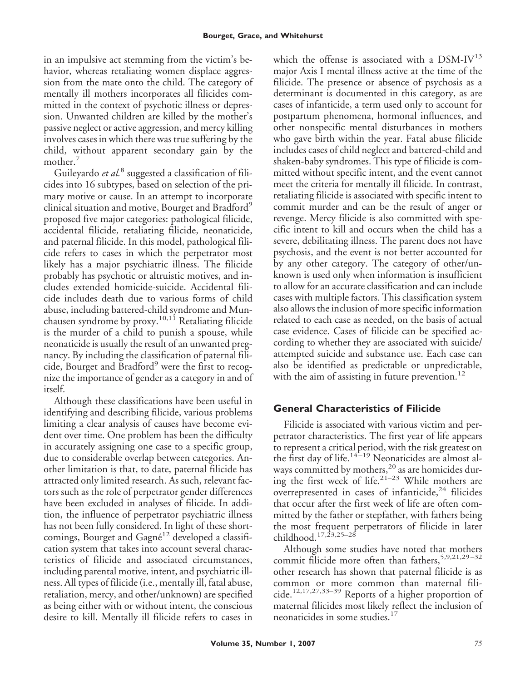in an impulsive act stemming from the victim's behavior, whereas retaliating women displace aggression from the mate onto the child. The category of mentally ill mothers incorporates all filicides committed in the context of psychotic illness or depression. Unwanted children are killed by the mother's passive neglect or active aggression, and mercy killing involves cases in which there was true suffering by the child, without apparent secondary gain by the mother.<sup>7</sup>

Guileyardo *et al.*<sup>8</sup> suggested a classification of filicides into 16 subtypes, based on selection of the primary motive or cause. In an attempt to incorporate clinical situation and motive, Bourget and Bradford<sup>9</sup> proposed five major categories: pathological filicide, accidental filicide, retaliating filicide, neonaticide, and paternal filicide. In this model, pathological filicide refers to cases in which the perpetrator most likely has a major psychiatric illness. The filicide probably has psychotic or altruistic motives, and includes extended homicide-suicide. Accidental filicide includes death due to various forms of child abuse, including battered-child syndrome and Munchausen syndrome by proxy.<sup>10,11</sup> Retaliating filicide is the murder of a child to punish a spouse, while neonaticide is usually the result of an unwanted pregnancy. By including the classification of paternal filicide, Bourget and Bradford<sup>9</sup> were the first to recognize the importance of gender as a category in and of itself.

Although these classifications have been useful in identifying and describing filicide, various problems limiting a clear analysis of causes have become evident over time. One problem has been the difficulty in accurately assigning one case to a specific group, due to considerable overlap between categories. Another limitation is that, to date, paternal filicide has attracted only limited research. As such, relevant factors such as the role of perpetrator gender differences have been excluded in analyses of filicide. In addition, the influence of perpetrator psychiatric illness has not been fully considered. In light of these shortcomings, Bourget and Gagné<sup>12</sup> developed a classification system that takes into account several characteristics of filicide and associated circumstances, including parental motive, intent, and psychiatric illness. All types of filicide (i.e., mentally ill, fatal abuse, retaliation, mercy, and other/unknown) are specified as being either with or without intent, the conscious desire to kill. Mentally ill filicide refers to cases in

which the offense is associated with a  $DSM-IV^{13}$ major Axis I mental illness active at the time of the filicide. The presence or absence of psychosis as a determinant is documented in this category, as are cases of infanticide, a term used only to account for postpartum phenomena, hormonal influences, and other nonspecific mental disturbances in mothers who gave birth within the year. Fatal abuse filicide includes cases of child neglect and battered-child and shaken-baby syndromes. This type of filicide is committed without specific intent, and the event cannot meet the criteria for mentally ill filicide. In contrast, retaliating filicide is associated with specific intent to commit murder and can be the result of anger or revenge. Mercy filicide is also committed with specific intent to kill and occurs when the child has a severe, debilitating illness. The parent does not have psychosis, and the event is not better accounted for by any other category. The category of other/unknown is used only when information is insufficient to allow for an accurate classification and can include cases with multiple factors. This classification system also allows the inclusion of more specific information related to each case as needed, on the basis of actual case evidence. Cases of filicide can be specified according to whether they are associated with suicide/ attempted suicide and substance use. Each case can also be identified as predictable or unpredictable, with the aim of assisting in future prevention.<sup>12</sup>

# **General Characteristics of Filicide**

Filicide is associated with various victim and perpetrator characteristics. The first year of life appears to represent a critical period, with the risk greatest on the first day of life.<sup>14-19</sup> Neonaticides are almost always committed by mothers,<sup>20</sup> as are homicides during the first week of life.<sup>21–23</sup> While mothers are overrepresented in cases of infanticide, $24$  filicides that occur after the first week of life are often committed by the father or stepfather, with fathers being the most frequent perpetrators of filicide in later childhood.<sup>17,23,25–28</sup>

Although some studies have noted that mothers commit filicide more often than fathers,<sup>5,9,21,29-32</sup> other research has shown that paternal filicide is as common or more common than maternal filicide.<sup>12,17,27,33–39</sup> Reports of a higher proportion of maternal filicides most likely reflect the inclusion of neonaticides in some studies.<sup>17</sup>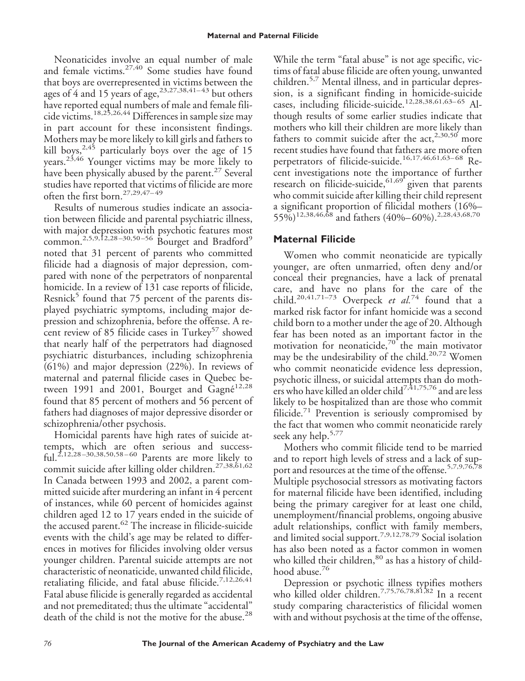Neonaticides involve an equal number of male and female victims.<sup>27,40</sup> Some studies have found that boys are overrepresented in victims between the ages of 4 and 15 years of age,  $^{23,27,38,41-43}$  but others have reported equal numbers of male and female filicide victims.18,25,26,44 Differences in sample size may in part account for these inconsistent findings. Mothers may be more likely to kill girls and fathers to kill boys,<sup>2,45</sup> particularly boys over the age of 15 years.23,46 Younger victims may be more likely to have been physically abused by the parent.<sup>27</sup> Several studies have reported that victims of filicide are more often the first born.<sup>27,29,47–49</sup>

Results of numerous studies indicate an association between filicide and parental psychiatric illness, with major depression with psychotic features most common.<sup>2,5,9,12,28-30,50-56</sup> Bourget and Bradford<sup>9</sup> noted that 31 percent of parents who committed filicide had a diagnosis of major depression, compared with none of the perpetrators of nonparental homicide. In a review of 131 case reports of filicide, Resnick<sup>5</sup> found that 75 percent of the parents displayed psychiatric symptoms, including major depression and schizophrenia, before the offense. A recent review of 85 filicide cases in Turkey<sup>57</sup> showed that nearly half of the perpetrators had diagnosed psychiatric disturbances, including schizophrenia (61%) and major depression (22%). In reviews of maternal and paternal filicide cases in Quebec between 1991 and 2001, Bourget and  $\tilde{G}$ agné<sup>12,28</sup> found that 85 percent of mothers and 56 percent of fathers had diagnoses of major depressive disorder or schizophrenia/other psychosis.

Homicidal parents have high rates of suicide attempts, which are often serious and successful.<sup>2,12,28–30,38,50,58–60</sup> Parents are more likely to commit suicide after killing older children.27,38,61,62 In Canada between 1993 and 2002, a parent committed suicide after murdering an infant in 4 percent of instances, while 60 percent of homicides against children aged 12 to 17 years ended in the suicide of the accused parent.<sup>62</sup> The increase in filicide-suicide events with the child's age may be related to differences in motives for filicides involving older versus younger children. Parental suicide attempts are not characteristic of neonaticide, unwanted child filicide, retaliating filicide, and fatal abuse filicide.<sup>7,12,26,41</sup> Fatal abuse filicide is generally regarded as accidental and not premeditated; thus the ultimate "accidental" death of the child is not the motive for the abuse.<sup>28</sup>

While the term "fatal abuse" is not age specific, victims of fatal abuse filicide are often young, unwanted children.5,7 Mental illness, and in particular depression, is a significant finding in homicide-suicide cases, including filicide-suicide.<sup>12,28,38,61,63-65</sup> Although results of some earlier studies indicate that mothers who kill their children are more likely than fathers to commit suicide after the  $act, <sup>2,30,50</sup>$  more recent studies have found that fathers are more often perpetrators of filicide-suicide.<sup>16,17,46,61,63-68</sup> Recent investigations note the importance of further research on filicide-suicide,  $61,69$  given that parents who commit suicide after killing their child represent a significant proportion of filicidal mothers (16%–  $55\%$ <sup>12,38,46,68</sup> and fathers (40%–60%).<sup>2,28,43,68,70</sup>

## **Maternal Filicide**

Women who commit neonaticide are typically younger, are often unmarried, often deny and/or conceal their pregnancies, have a lack of prenatal care, and have no plans for the care of the child.<sup>20,41,71–73</sup> Overpeck *et al.*<sup>74</sup> found that a marked risk factor for infant homicide was a second child born to a mother under the age of 20. Although fear has been noted as an important factor in the motivation for neonaticide,<sup>70</sup> the main motivator may be the undesirability of the child.<sup>20,72</sup> Women who commit neonaticide evidence less depression, psychotic illness, or suicidal attempts than do mothers who have killed an older child<sup>7,41,75,76</sup> and are less likely to be hospitalized than are those who commit filicide.<sup>71</sup> Prevention is seriously compromised by the fact that women who commit neonaticide rarely seek any help.<sup>5,77</sup>

Mothers who commit filicide tend to be married and to report high levels of stress and a lack of support and resources at the time of the offense.<sup>5,7,9,76,78</sup> Multiple psychosocial stressors as motivating factors for maternal filicide have been identified, including being the primary caregiver for at least one child, unemployment/financial problems, ongoing abusive adult relationships, conflict with family members, and limited social support.7,9,12,78,79 Social isolation has also been noted as a factor common in women who killed their children, 80 as has a history of childhood abuse.<sup>76</sup>

Depression or psychotic illness typifies mothers who killed older children.7,75,76,78,81,82 In a recent study comparing characteristics of filicidal women with and without psychosis at the time of the offense,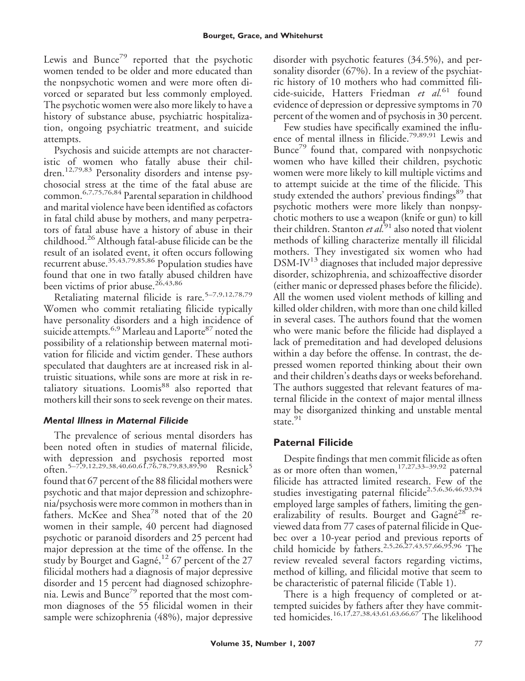Lewis and Bunce<sup>79</sup> reported that the psychotic women tended to be older and more educated than the nonpsychotic women and were more often divorced or separated but less commonly employed. The psychotic women were also more likely to have a history of substance abuse, psychiatric hospitalization, ongoing psychiatric treatment, and suicide attempts.

Psychosis and suicide attempts are not characteristic of women who fatally abuse their children.12,79,83 Personality disorders and intense psychosocial stress at the time of the fatal abuse are common.6,7,75,76,84 Parental separation in childhood and marital violence have been identified as cofactors in fatal child abuse by mothers, and many perpetrators of fatal abuse have a history of abuse in their childhood.<sup>26</sup> Although fatal-abuse filicide can be the result of an isolated event, it often occurs following recurrent abuse.<sup>35,43,79,85,86</sup> Population studies have found that one in two fatally abused children have been victims of prior abuse.<sup>26,43,86</sup>

Retaliating maternal filicide is rare.<sup>5-7,9,12,78,79</sup> Women who commit retaliating filicide typically have personality disorders and a high incidence of suicide attempts.<sup>6,9</sup> Marleau and Laporte<sup>87</sup> noted the possibility of a relationship between maternal motivation for filicide and victim gender. These authors speculated that daughters are at increased risk in altruistic situations, while sons are more at risk in retaliatory situations. Loomis<sup>88</sup> also reported that mothers kill their sons to seek revenge on their mates.

### *Mental Illness in Maternal Filicide*

The prevalence of serious mental disorders has been noted often in studies of maternal filicide, with depression and psychosis reported most often.<sup>5–7,9,12,29,38,40,60,61,76,78,79,83,89,90</sup> Resnick<sup>5</sup> found that 67 percent of the 88 filicidal mothers were psychotic and that major depression and schizophrenia/psychosis were more common in mothers than in fathers. McKee and Shea<sup>78</sup> noted that of the 20 women in their sample, 40 percent had diagnosed psychotic or paranoid disorders and 25 percent had major depression at the time of the offense. In the study by Bourget and Gagné,<sup>12</sup> 67 percent of the 27 filicidal mothers had a diagnosis of major depressive disorder and 15 percent had diagnosed schizophrenia. Lewis and Bunce<sup>79</sup> reported that the most common diagnoses of the 55 filicidal women in their sample were schizophrenia (48%), major depressive

disorder with psychotic features (34.5%), and personality disorder (67%). In a review of the psychiatric history of 10 mothers who had committed filicide-suicide, Hatters Friedman *et al.*<sup>61</sup> found evidence of depression or depressive symptoms in 70 percent of the women and of psychosis in 30 percent.

Few studies have specifically examined the influence of mental illness in filicide.79,89,91 Lewis and Bunce<sup>79</sup> found that, compared with nonpsychotic women who have killed their children, psychotic women were more likely to kill multiple victims and to attempt suicide at the time of the filicide. This study extended the authors' previous findings<sup>89</sup> that psychotic mothers were more likely than nonpsychotic mothers to use a weapon (knife or gun) to kill their children. Stanton *et al.*<sup>91</sup> also noted that violent methods of killing characterize mentally ill filicidal mothers. They investigated six women who had  $DSM-IV^{13}$  diagnoses that included major depressive disorder, schizophrenia, and schizoaffective disorder (either manic or depressed phases before the filicide). All the women used violent methods of killing and killed older children, with more than one child killed in several cases. The authors found that the women who were manic before the filicide had displayed a lack of premeditation and had developed delusions within a day before the offense. In contrast, the depressed women reported thinking about their own and their children's deaths days or weeks beforehand. The authors suggested that relevant features of maternal filicide in the context of major mental illness may be disorganized thinking and unstable mental state.<sup>91</sup>

# **Paternal Filicide**

Despite findings that men commit filicide as often as or more often than women,  $17,27,33-39,92$  paternal filicide has attracted limited research. Few of the studies investigating paternal filicide<sup>2,5,6,36,46,93,94</sup> employed large samples of fathers, limiting the generalizability of results. Bourget and Gagné<sup>28</sup> reviewed data from 77 cases of paternal filicide in Quebec over a 10-year period and previous reports of child homicide by fathers.2,5,26,27,43,57,66,95,96 The review revealed several factors regarding victims, method of killing, and filicidal motive that seem to be characteristic of paternal filicide (Table 1).

There is a high frequency of completed or attempted suicides by fathers after they have committed homicides.16,17,27,38,43,61,63,66,67 The likelihood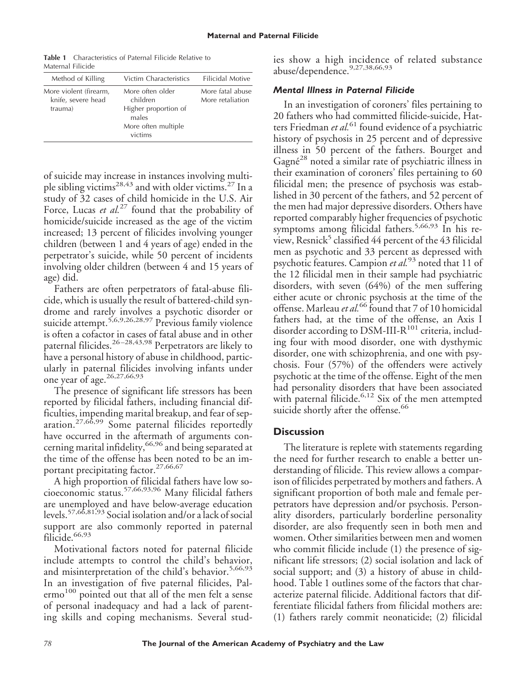**Table 1** Characteristics of Paternal Filicide Relative to Maternal Filicide

| Method of Killing                                       | Victim Characteristics                                                                          | Filicidal Motive                     |
|---------------------------------------------------------|-------------------------------------------------------------------------------------------------|--------------------------------------|
| More violent (firearm,<br>knife, severe head<br>trauma) | More often older<br>children<br>Higher proportion of<br>males<br>More often multiple<br>victims | More fatal abuse<br>More retaliation |

of suicide may increase in instances involving multiple sibling victims<sup>28,43</sup> and with older victims.<sup>27</sup> In a study of 32 cases of child homicide in the U.S. Air Force, Lucas *et al.*<sup>27</sup> found that the probability of homicide/suicide increased as the age of the victim increased; 13 percent of filicides involving younger children (between 1 and 4 years of age) ended in the perpetrator's suicide, while 50 percent of incidents involving older children (between 4 and 15 years of age) did.

Fathers are often perpetrators of fatal-abuse filicide, which is usually the result of battered-child syndrome and rarely involves a psychotic disorder or suicide attempt.<sup>5,6,9,26,28,97</sup> Previous family violence is often a cofactor in cases of fatal abuse and in other paternal filicides.26 –28,43,98 Perpetrators are likely to have a personal history of abuse in childhood, particularly in paternal filicides involving infants under one year of age.26,27,66,93

The presence of significant life stressors has been reported by filicidal fathers, including financial difficulties, impending marital breakup, and fear of separation.27,66,99 Some paternal filicides reportedly have occurred in the aftermath of arguments concerning marital infidelity, <sup>66,96</sup> and being separated at the time of the offense has been noted to be an important precipitating factor.<sup>27,66,67</sup>

A high proportion of filicidal fathers have low socioeconomic status.57,66,93,96 Many filicidal fathers are unemployed and have below-average education levels.57,66,81,93 Social isolation and/or a lack of social support are also commonly reported in paternal filicide.<sup>66,93</sup>

Motivational factors noted for paternal filicide include attempts to control the child's behavior, and misinterpretation of the child's behavior.<sup>5,66,93</sup> In an investigation of five paternal filicides, Palermo<sup>100</sup> pointed out that all of the men felt a sense of personal inadequacy and had a lack of parenting skills and coping mechanisms. Several stud-

ies show a high incidence of related substance abuse/dependence.<sup>9,27,38,66,93</sup>

#### *Mental Illness in Paternal Filicide*

In an investigation of coroners' files pertaining to 20 fathers who had committed filicide-suicide, Hatters Friedman *et al.*<sup>61</sup> found evidence of a psychiatric history of psychosis in 25 percent and of depressive illness in 50 percent of the fathers. Bourget and Gagné<sup>28</sup> noted a similar rate of psychiatric illness in their examination of coroners' files pertaining to 60 filicidal men; the presence of psychosis was established in 30 percent of the fathers, and 52 percent of the men had major depressive disorders. Others have reported comparably higher frequencies of psychotic symptoms among filicidal fathers.<sup>5,66,93</sup> In his review, Resnick<sup>5</sup> classified 44 percent of the 43 filicidal men as psychotic and 33 percent as depressed with psychotic features. Campion *et al.*<sup>93</sup> noted that 11 of the 12 filicidal men in their sample had psychiatric disorders, with seven (64%) of the men suffering either acute or chronic psychosis at the time of the offense. Marleau *et al.*<sup>66</sup> found that 7 of 10 homicidal fathers had, at the time of the offense, an Axis I disorder according to DSM-III- $R^{101}$  criteria, including four with mood disorder, one with dysthymic disorder, one with schizophrenia, and one with psychosis. Four (57%) of the offenders were actively psychotic at the time of the offense. Eight of the men had personality disorders that have been associated with paternal filicide.<sup>6,12</sup> Six of the men attempted suicide shortly after the offense.<sup>66</sup>

#### **Discussion**

The literature is replete with statements regarding the need for further research to enable a better understanding of filicide. This review allows a comparison of filicides perpetrated by mothers and fathers. A significant proportion of both male and female perpetrators have depression and/or psychosis. Personality disorders, particularly borderline personality disorder, are also frequently seen in both men and women. Other similarities between men and women who commit filicide include (1) the presence of significant life stressors; (2) social isolation and lack of social support; and (3) a history of abuse in childhood. Table 1 outlines some of the factors that characterize paternal filicide. Additional factors that differentiate filicidal fathers from filicidal mothers are: (1) fathers rarely commit neonaticide; (2) filicidal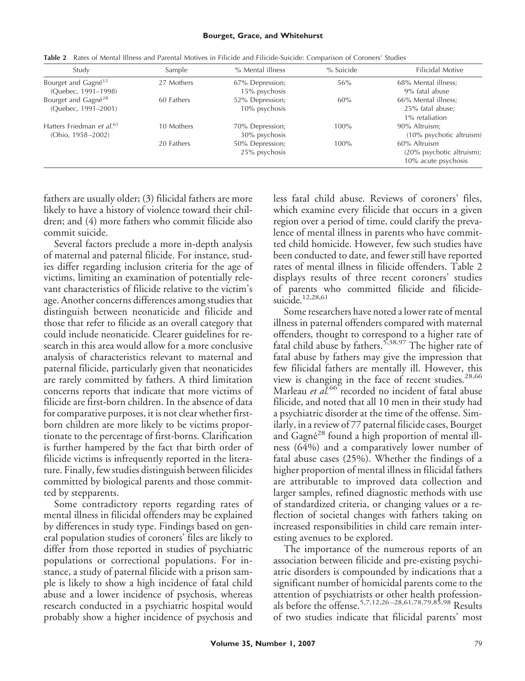#### **Bourget, Grace, and Whitehurst**

| Study                                                      | Sample     | % Mental illness                 | % Suicide | <b>Filicidal Motive</b>                                             |
|------------------------------------------------------------|------------|----------------------------------|-----------|---------------------------------------------------------------------|
| Bourget and Gagné <sup>12</sup><br>(Ouebec, 1991-1998)     | 27 Mothers | 67% Depression;<br>15% psychosis | 56%       | 68% Mental illness;<br>9% fatal abuse                               |
| Bourget and Gagné <sup>28</sup><br>(Ouebec, 1991-2001)     | 60 Fathers | 52% Depression;<br>10% psychosis | 60%       | 66% Mental illness;<br>25% fatal abuse;<br>1% retaliation           |
| Hatters Friedman et al. <sup>61</sup><br>(Ohio, 1958-2002) | 10 Mothers | 70% Depression;<br>30% psychosis | 100%      | 90% Altruism;<br>(10% psychotic altruism)                           |
|                                                            | 20 Fathers | 50% Depression;<br>25% psychosis | $100\%$   | 60% Altruism<br>$(20\%$ psychotic altruism);<br>10% acute psychosis |

**Table 2** Rates of Mental Illness and Parental Motives in Filicide and Filicide-Suicide: Comparison of Coroners' Studies

fathers are usually older; (3) filicidal fathers are more likely to have a history of violence toward their children; and (4) more fathers who commit filicide also commit suicide.

Several factors preclude a more in-depth analysis of maternal and paternal filicide. For instance, studies differ regarding inclusion criteria for the age of victims, limiting an examination of potentially relevant characteristics of filicide relative to the victim's age. Another concerns differences among studies that distinguish between neonaticide and filicide and those that refer to filicide as an overall category that could include neonaticide. Clearer guidelines for research in this area would allow for a more conclusive analysis of characteristics relevant to maternal and paternal filicide, particularly given that neonaticides are rarely committed by fathers. A third limitation concerns reports that indicate that more victims of filicide are first-born children. In the absence of data for comparative purposes, it is not clear whether firstborn children are more likely to be victims proportionate to the percentage of first-borns. Clarification is further hampered by the fact that birth order of filicide victims is infrequently reported in the literature. Finally, few studies distinguish between filicides committed by biological parents and those committed by stepparents.

Some contradictory reports regarding rates of mental illness in filicidal offenders may be explained by differences in study type. Findings based on general population studies of coroners' files are likely to differ from those reported in studies of psychiatric populations or correctional populations. For instance, a study of paternal filicide with a prison sample is likely to show a high incidence of fatal child abuse and a lower incidence of psychosis, whereas research conducted in a psychiatric hospital would probably show a higher incidence of psychosis and

less fatal child abuse. Reviews of coroners' files, which examine every filicide that occurs in a given region over a period of time, could clarify the prevalence of mental illness in parents who have committed child homicide. However, few such studies have been conducted to date, and fewer still have reported rates of mental illness in filicide offenders. Table 2 displays results of three recent coroners' studies of parents who committed filicide and filicidesuicide.<sup>12,28,61</sup>

Some researchers have noted a lower rate of mental illness in paternal offenders compared with maternal offenders, thought to correspond to a higher rate of fatal child abuse by fathers.<sup>5,38,97</sup> The higher rate of fatal abuse by fathers may give the impression that few filicidal fathers are mentally ill. However, this view is changing in the face of recent studies.<sup>28,66</sup> Marleau *et al.*<sup>66</sup> recorded no incident of fatal abuse filicide, and noted that all 10 men in their study had a psychiatric disorder at the time of the offense. Similarly, in a review of 77 paternal filicide cases, Bourget and Gagné<sup>28</sup> found a high proportion of mental illness (64%) and a comparatively lower number of fatal abuse cases (25%). Whether the findings of a higher proportion of mental illness in filicidal fathers are attributable to improved data collection and larger samples, refined diagnostic methods with use of standardized criteria, or changing values or a reflection of societal changes with fathers taking on increased responsibilities in child care remain interesting avenues to be explored.

The importance of the numerous reports of an association between filicide and pre-existing psychiatric disorders is compounded by indications that a significant number of homicidal parents come to the attention of psychiatrists or other health professionals before the offense.5,7,12,26 –28,61,78,79,85,98 Results of two studies indicate that filicidal parents' most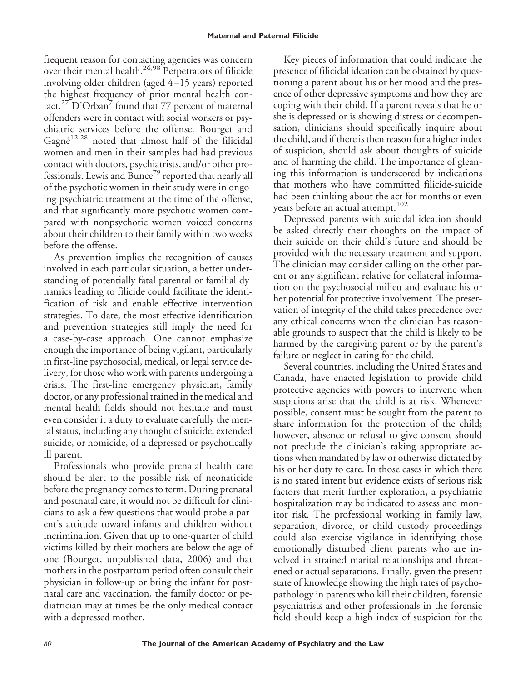frequent reason for contacting agencies was concern over their mental health.<sup>26,98</sup> Perpetrators of filicide involving older children (aged 4 –15 years) reported the highest frequency of prior mental health contact.<sup>27</sup> D'Orban<sup>7</sup> found that 77 percent of maternal offenders were in contact with social workers or psychiatric services before the offense. Bourget and Gagné<sup>12,28</sup> noted that almost half of the filicidal women and men in their samples had had previous contact with doctors, psychiatrists, and/or other professionals. Lewis and Bunce<sup>79</sup> reported that nearly all of the psychotic women in their study were in ongoing psychiatric treatment at the time of the offense, and that significantly more psychotic women compared with nonpsychotic women voiced concerns about their children to their family within two weeks before the offense.

As prevention implies the recognition of causes involved in each particular situation, a better understanding of potentially fatal parental or familial dynamics leading to filicide could facilitate the identification of risk and enable effective intervention strategies. To date, the most effective identification and prevention strategies still imply the need for a case-by-case approach. One cannot emphasize enough the importance of being vigilant, particularly in first-line psychosocial, medical, or legal service delivery, for those who work with parents undergoing a crisis. The first-line emergency physician, family doctor, or any professional trained in the medical and mental health fields should not hesitate and must even consider it a duty to evaluate carefully the mental status, including any thought of suicide, extended suicide, or homicide, of a depressed or psychotically ill parent.

Professionals who provide prenatal health care should be alert to the possible risk of neonaticide before the pregnancy comes to term. During prenatal and postnatal care, it would not be difficult for clinicians to ask a few questions that would probe a parent's attitude toward infants and children without incrimination. Given that up to one-quarter of child victims killed by their mothers are below the age of one (Bourget, unpublished data, 2006) and that mothers in the postpartum period often consult their physician in follow-up or bring the infant for postnatal care and vaccination, the family doctor or pediatrician may at times be the only medical contact with a depressed mother.

Key pieces of information that could indicate the presence of filicidal ideation can be obtained by questioning a parent about his or her mood and the presence of other depressive symptoms and how they are coping with their child. If a parent reveals that he or she is depressed or is showing distress or decompensation, clinicians should specifically inquire about the child, and if there is then reason for a higher index of suspicion, should ask about thoughts of suicide and of harming the child. The importance of gleaning this information is underscored by indications that mothers who have committed filicide-suicide had been thinking about the act for months or even years before an actual attempt.<sup>102</sup>

Depressed parents with suicidal ideation should be asked directly their thoughts on the impact of their suicide on their child's future and should be provided with the necessary treatment and support. The clinician may consider calling on the other parent or any significant relative for collateral information on the psychosocial milieu and evaluate his or her potential for protective involvement. The preservation of integrity of the child takes precedence over any ethical concerns when the clinician has reasonable grounds to suspect that the child is likely to be harmed by the caregiving parent or by the parent's failure or neglect in caring for the child.

Several countries, including the United States and Canada, have enacted legislation to provide child protective agencies with powers to intervene when suspicions arise that the child is at risk. Whenever possible, consent must be sought from the parent to share information for the protection of the child; however, absence or refusal to give consent should not preclude the clinician's taking appropriate actions when mandated by law or otherwise dictated by his or her duty to care. In those cases in which there is no stated intent but evidence exists of serious risk factors that merit further exploration, a psychiatric hospitalization may be indicated to assess and monitor risk. The professional working in family law, separation, divorce, or child custody proceedings could also exercise vigilance in identifying those emotionally disturbed client parents who are involved in strained marital relationships and threatened or actual separations. Finally, given the present state of knowledge showing the high rates of psychopathology in parents who kill their children, forensic psychiatrists and other professionals in the forensic field should keep a high index of suspicion for the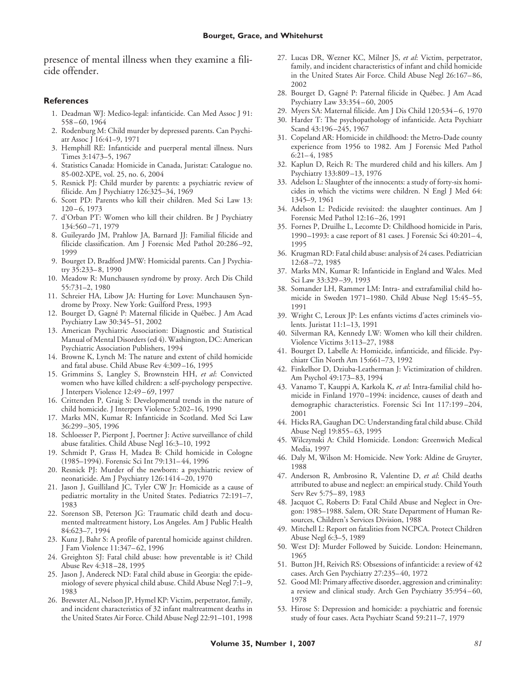presence of mental illness when they examine a filicide offender.

#### **References**

- 1. Deadman WJ: Medico-legal: infanticide. Can Med Assoc J 91: 558 – 60, 1964
- 2. Rodenburg M: Child murder by depressed parents. Can Psychiatr Assoc J 16:41–9, 1971
- 3. Hemphill RE: Infanticide and puerperal mental illness. Nurs Times 3:1473–5, 1967
- 4. Statistics Canada: Homicide in Canada, Juristat: Catalogue no. 85-002-XPE, vol. 25, no. 6, 2004
- 5. Resnick PJ: Child murder by parents: a psychiatric review of filicide. Am J Psychiatry 126:325–34, 1969
- 6. Scott PD: Parents who kill their children. Med Sci Law 13:  $120 - 6, 1973$
- 7. d'Orban PT: Women who kill their children. Br J Psychiatry 134:560 –71, 1979
- 8. Guileyardo JM, Prahlow JA, Barnard JJ: Familial filicide and filicide classification. Am J Forensic Med Pathol 20:286 –92, 1999
- 9. Bourget D, Bradford JMW: Homicidal parents. Can J Psychiatry 35:233– 8, 1990
- 10. Meadow R: Munchausen syndrome by proxy. Arch Dis Child 55:731–2, 1980
- 11. Schreier HA, Libow JA: Hurting for Love: Munchausen Syndrome by Proxy. New York: Guilford Press, 1993
- 12. Bourget D, Gagné P: Maternal filicide in Québec. J Am Acad Psychiatry Law 30:345–51, 2002
- 13. American Psychiatric Association: Diagnostic and Statistical Manual of Mental Disorders (ed 4). Washington, DC: American Psychiatric Association Publishers, 1994
- 14. Browne K, Lynch M: The nature and extent of child homicide and fatal abuse. Child Abuse Rev 4:309 –16, 1995
- 15. Grimmins S, Langley S, Brownstein HH, *et al*: Convicted women who have killed children: a self-psychology perspective. J Interpers Violence 12:49 – 69, 1997
- 16. Crittenden P, Graig S: Developmental trends in the nature of child homicide. J Interpers Violence 5:202–16, 1990
- 17. Marks MN, Kumar R: Infanticide in Scotland. Med Sci Law 36:299 –305, 1996
- 18. Schloesser P, Pierpont J, Poertner J: Active surveillance of child abuse fatalities. Child Abuse Negl 16:3–10, 1992
- 19. Schmidt P, Grass H, Madea B: Child homicide in Cologne (1985–1994). Forensic Sci Int 79:131– 44, 1996
- 20. Resnick PJ: Murder of the newborn: a psychiatric review of neonaticide. Am J Psychiatry 126:1414 –20, 1970
- 21. Jason J, Guilliland JC, Tyler CW Jr: Homicide as a cause of pediatric mortality in the United States. Pediatrics 72:191–7, 1983
- 22. Sorenson SB, Peterson JG: Traumatic child death and documented maltreatment history, Los Angeles. Am J Public Health 84:623–7, 1994
- 23. Kunz J, Bahr S: A profile of parental homicide against children. J Fam Violence 11:347– 62, 1996
- 24. Greighton SJ: Fatal child abuse: how preventable is it? Child Abuse Rev 4:318 –28, 1995
- 25. Jason J, Andereck ND: Fatal child abuse in Georgia: the epidemiology of severe physical child abuse. Child Abuse Negl 7:1–9, 1983
- 26. Brewster AL, Nelson JP, Hymel KP: Victim, perpetrator, family, and incident characteristics of 32 infant maltreatment deaths in the United States Air Force. Child Abuse Negl 22:91–101, 1998
- 27. Lucas DR, Wezner KC, Milner JS, *et al*: Victim, perpetrator, family, and incident characteristics of infant and child homicide in the United States Air Force. Child Abuse Negl 26:167– 86, 2002
- 28. Bourget D, Gagné P: Paternal filicide in Québec. J Am Acad Psychiatry Law 33:354 – 60, 2005
- 29. Myers SA: Maternal filicide. Am J Dis Child 120:534 6, 1970
- 30. Harder T: The psychopathology of infanticide. Acta Psychiatr Scand 43:196-245, 1967
- 31. Copeland AR: Homicide in childhood: the Metro-Dade county experience from 1956 to 1982. Am J Forensic Med Pathol  $6:21-4,1985$
- 32. Kaplun D, Reich R: The murdered child and his killers. Am J Psychiatry 133:809 –13, 1976
- 33. Adelson L: Slaughter of the innocents: a study of forty-six homicides in which the victims were children. N Engl J Med 64: 1345–9, 1961
- 34. Adelson L: Pedicide revisited: the slaughter continues. Am J Forensic Med Pathol 12:16 –26, 1991
- 35. Fornes P, Druilhe L, Lecomte D: Childhood homicide in Paris, 1990 –1993: a case report of 81 cases. J Forensic Sci 40:201– 4, 1995
- 36. Krugman RD: Fatal child abuse: analysis of 24 cases. Pediatrician 12:68 –72, 1985
- 37. Marks MN, Kumar R: Infanticide in England and Wales. Med Sci Law 33:329 –39, 1993
- 38. Somander LH, Rammer LM: Intra- and extrafamilial child homicide in Sweden 1971–1980. Child Abuse Negl 15:45–55, 1991
- 39. Wright C, Leroux JP: Les enfants victims d'actes criminels violents. Juristat 11:1–13, 1991
- 40. Silverman RA, Kennedy LW: Women who kill their children. Violence Victims 3:113–27, 1988
- 41. Bourget D, Labelle A: Homicide, infanticide, and filicide. Psychiatr Clin North Am 15:661–73, 1992
- 42. Finkelhor D, Dziuba-Leatherman J: Victimization of children. Am Psychol 49:173– 83, 1994
- 43. Vanamo T, Kauppi A, Karkola K, *et al*: Intra-familial child homicide in Finland 1970 –1994: incidence, causes of death and demographic characteristics. Forensic Sci Int 117:199 –204, 2001
- 44. Hicks RA, Gaughan DC: Understanding fatal child abuse. Child Abuse Negl 19:855– 63, 1995
- 45. Wilczynski A: Child Homicide. London: Greenwich Medical Media, 1997
- 46. Daly M, Wilson M: Homicide. New York: Aldine de Gruyter, 1988
- 47. Anderson R, Ambrosino R, Valentine D, *et al*: Child deaths attributed to abuse and neglect: an empirical study. Child Youth Serv Rev 5:75– 89, 1983
- 48. Jacquot C, Roberts D: Fatal Child Abuse and Neglect in Oregon: 1985–1988. Salem, OR: State Department of Human Resources, Children's Services Division, 1988
- 49. Mitchell L: Report on fatalities from NCPCA. Protect Children Abuse Negl 6:3–5, 1989
- 50. West DJ: Murder Followed by Suicide. London: Heinemann, 1965
- 51. Button JH, Reivich RS: Obsessions of infanticide: a review of 42 cases. Arch Gen Psychiatry 27:235– 40, 1972
- 52. Good MI: Primary affective disorder, aggression and criminality: a review and clinical study. Arch Gen Psychiatry 35:954 – 60, 1978
- 53. Hirose S: Depression and homicide: a psychiatric and forensic study of four cases. Acta Psychiatr Scand 59:211–7, 1979